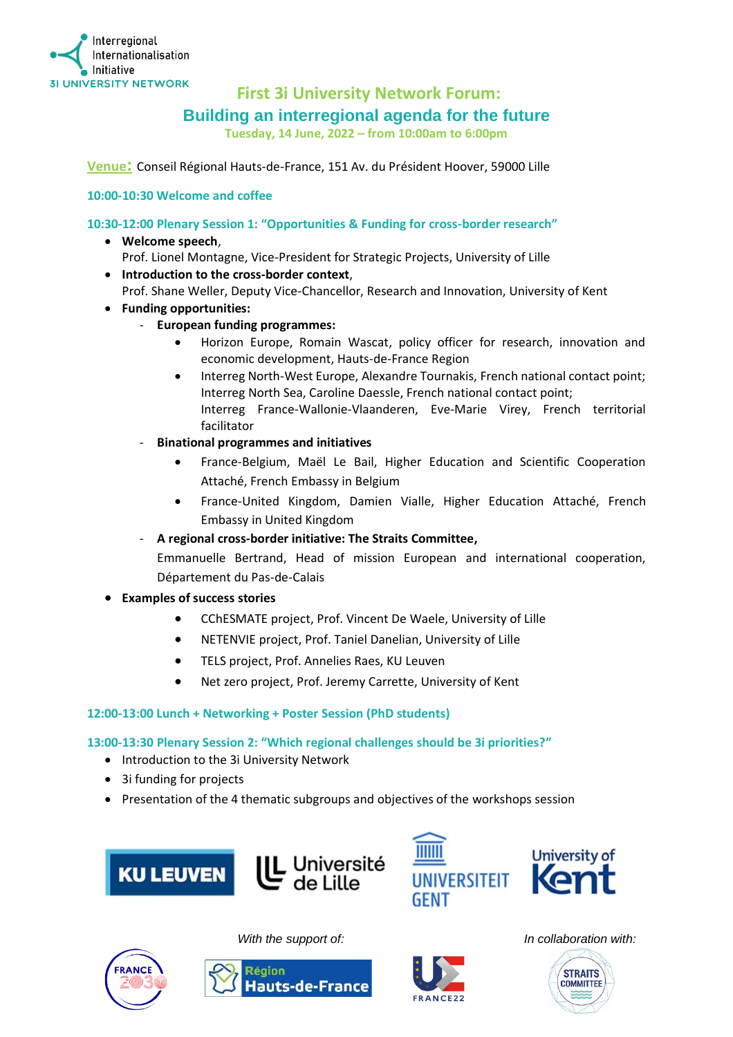

# **First 3i University Network Forum:**

## **Building an interregional agenda for the future**

**Tuesday, 14 June, 2022 – from 10:00am to 6:00pm**

**Venue:** Conseil Régional Hauts-de-France, 151 Av. du Président Hoover, 59000 Lille

### **10:00-10:30 Welcome and coffee**

**10:30-12:00 Plenary Session 1: "Opportunities & Funding for cross-border research"**

- **Welcome speech**, Prof. Lionel Montagne, Vice-President for Strategic Projects, University of Lille
- **Introduction to the cross-border context**, Prof. Shane Weller, Deputy Vice-Chancellor, Research and Innovation, University of Kent
- **Funding opportunities:**
	- **European funding programmes:** 
		- Horizon Europe, Romain Wascat, policy officer for research, innovation and economic development, Hauts-de-France Region
		- Interreg North-West Europe, Alexandre Tournakis, French national contact point; Interreg North Sea, Caroline Daessle, French national contact point; Interreg France-Wallonie-Vlaanderen, Eve-Marie Virey, French territorial facilitator
	- **Binational programmes and initiatives**
		- France-Belgium, Maël Le Bail, Higher Education and Scientific Cooperation Attaché, French Embassy in Belgium
		- France-United Kingdom, Damien Vialle, Higher Education Attaché, French Embassy in United Kingdom
	- **A regional cross-border initiative: The Straits Committee,**
		- Emmanuelle Bertrand, Head of mission European and international cooperation, Département du Pas-de-Calais
- **Examples of success stories** 
	- CChESMATE project, Prof. Vincent De Waele, University of Lille
	- NETENVIE project, Prof. Taniel Danelian, University of Lille
	- TELS project, Prof. Annelies Raes, KU Leuven
	- Net zero project, Prof. Jeremy Carrette, University of Kent

#### **12:00-13:00 Lunch + Networking + Poster Session (PhD students)**

#### **13:00-13:30 Plenary Session 2: "Which regional challenges should be 3i priorities?"**

- Introduction to the 3i University Network
- 3i funding for projects
- Presentation of the 4 thematic subgroups and objectives of the workshops session

















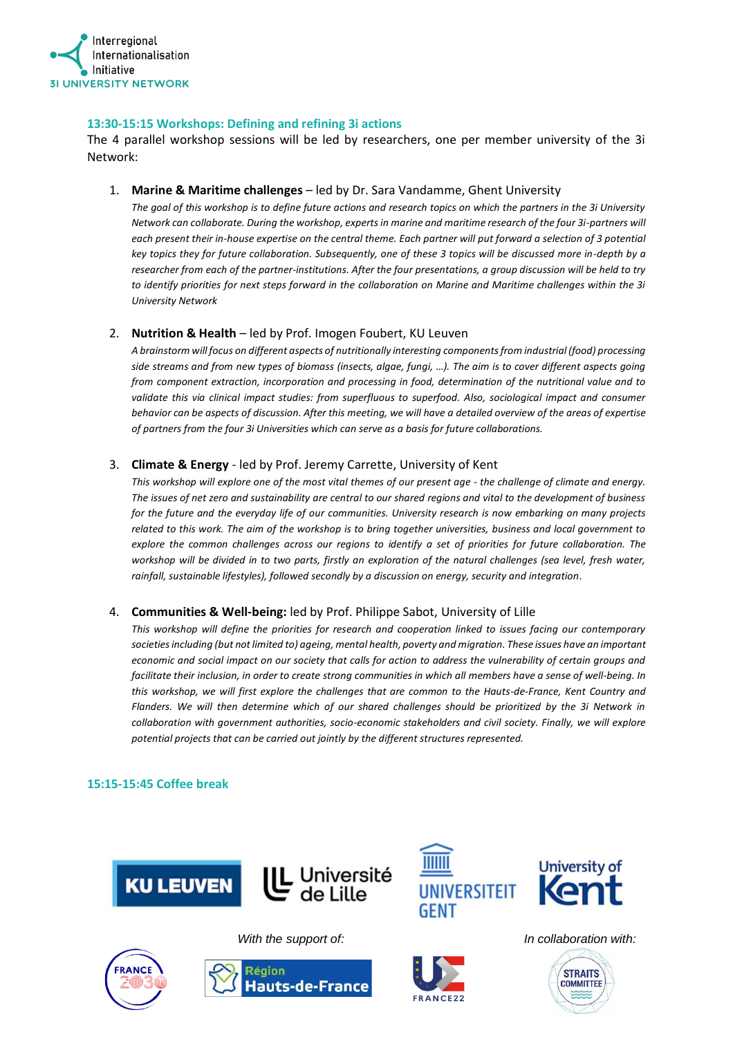

#### **13:30-15:15 Workshops: Defining and refining 3i actions**

The 4 parallel workshop sessions will be led by researchers, one per member university of the 3i Network:

#### 1. **Marine & Maritime challenges** – led by Dr. Sara Vandamme, Ghent University

*The goal of this workshop is to define future actions and research topics on which the partners in the 3i University Network can collaborate. During the workshop, experts in marine and maritime research of the four 3i-partners will*  each present their in-house expertise on the central theme. Each partner will put forward a selection of 3 potential *key topics they for future collaboration. Subsequently, one of these 3 topics will be discussed more in-depth by a researcher from each of the partner-institutions. After the four presentations, a group discussion will be held to try*  to identify priorities for next steps forward in the collaboration on Marine and Maritime challenges within the 3i *University Network*

#### 2. **Nutrition & Health** – led by Prof. Imogen Foubert, KU Leuven

*A brainstorm will focus on different aspects of nutritionally interesting components from industrial (food) processing side streams and from new types of biomass (insects, algae, fungi, …). The aim is to cover different aspects going from component extraction, incorporation and processing in food, determination of the nutritional value and to*  validate this via clinical impact studies: from superfluous to superfood. Also, sociological impact and consumer *behavior can be aspects of discussion. After this meeting, we will have a detailed overview of the areas of expertise of partners from the four 3i Universities which can serve as a basis for future collaborations.*

#### 3. **Climate & Energy** - led by Prof. Jeremy Carrette, University of Kent

*This workshop will explore one of the most vital themes of our present age - the challenge of climate and energy. The issues of net zero and sustainability are central to our shared regions and vital to the development of business for the future and the everyday life of our communities. University research is now embarking on many projects related to this work. The aim of the workshop is to bring together universities, business and local government to explore the common challenges across our regions to identify a set of priorities for future collaboration. The*  workshop will be divided in to two parts, firstly an exploration of the natural challenges (sea level, fresh water, *rainfall, sustainable lifestyles), followed secondly by a discussion on energy, security and integration.*

#### 4. **Communities & Well-being:** led by Prof. Philippe Sabot, University of Lille

*This workshop will define the priorities for research and cooperation linked to issues facing our contemporary societies including (but not limited to) ageing, mental health, poverty and migration. These issues have an important economic and social impact on our society that calls for action to address the vulnerability of certain groups and facilitate their inclusion, in order to create strong communities in which all members have a sense of well-being. In this workshop, we will first explore the challenges that are common to the Hauts-de-France, Kent Country and Flanders. We will then determine which of our shared challenges should be prioritized by the 3i Network in collaboration with government authorities, socio-economic stakeholders and civil society. Finally, we will explore potential projects that can be carried out jointly by the different structures represented.*

#### **15:15-15:45 Coffee break**



IIL Université